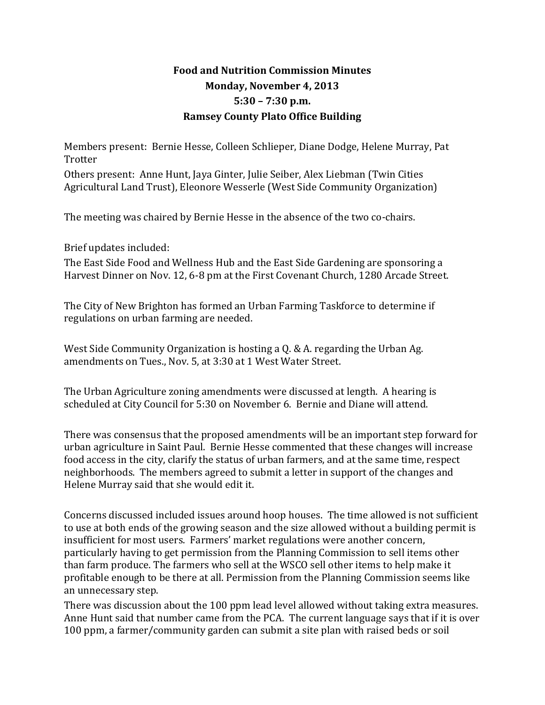## **Food and Nutrition Commission Minutes Monday, November 4, 2013 5:30 – 7:30 p.m. Ramsey County Plato Office Building**

Members present: Bernie Hesse, Colleen Schlieper, Diane Dodge, Helene Murray, Pat **Trotter** 

Others present: Anne Hunt, Jaya Ginter, Julie Seiber, Alex Liebman (Twin Cities Agricultural Land Trust), Eleonore Wesserle (West Side Community Organization)

The meeting was chaired by Bernie Hesse in the absence of the two co-chairs.

Brief updates included:

The East Side Food and Wellness Hub and the East Side Gardening are sponsoring a Harvest Dinner on Nov. 12, 6-8 pm at the First Covenant Church, 1280 Arcade Street.

The City of New Brighton has formed an Urban Farming Taskforce to determine if regulations on urban farming are needed.

West Side Community Organization is hosting a Q. & A. regarding the Urban Ag. amendments on Tues., Nov. 5, at 3:30 at 1 West Water Street.

The Urban Agriculture zoning amendments were discussed at length. A hearing is scheduled at City Council for 5:30 on November 6. Bernie and Diane will attend.

There was consensus that the proposed amendments will be an important step forward for urban agriculture in Saint Paul. Bernie Hesse commented that these changes will increase food access in the city, clarify the status of urban farmers, and at the same time, respect neighborhoods. The members agreed to submit a letter in support of the changes and Helene Murray said that she would edit it.

Concerns discussed included issues around hoop houses. The time allowed is not sufficient to use at both ends of the growing season and the size allowed without a building permit is insufficient for most users. Farmers' market regulations were another concern, particularly having to get permission from the Planning Commission to sell items other than farm produce. The farmers who sell at the WSCO sell other items to help make it profitable enough to be there at all. Permission from the Planning Commission seems like an unnecessary step.

There was discussion about the 100 ppm lead level allowed without taking extra measures. Anne Hunt said that number came from the PCA. The current language says that if it is over 100 ppm, a farmer/community garden can submit a site plan with raised beds or soil